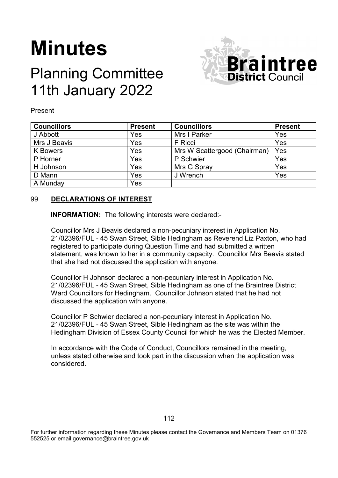# **Minutes**

# Planning Committee 11th January 2022



#### Present

| <b>Councillors</b> | <b>Present</b> | <b>Councillors</b>           | <b>Present</b> |
|--------------------|----------------|------------------------------|----------------|
| J Abbott           | Yes            | Mrs I Parker                 | Yes            |
| Mrs J Beavis       | Yes            | F Ricci                      | Yes            |
| <b>K</b> Bowers    | Yes            | Mrs W Scattergood (Chairman) | Yes            |
| P Horner           | Yes            | P Schwier                    | Yes            |
| H Johnson          | Yes            | Mrs G Spray                  | Yes            |
| D Mann             | Yes            | J Wrench                     | Yes            |
| A Munday           | Yes            |                              |                |

#### 99 **DECLARATIONS OF INTEREST**

**INFORMATION:** The following interests were declared:-

Councillor Mrs J Beavis declared a non-pecuniary interest in Application No. 21/02396/FUL - 45 Swan Street, Sible Hedingham as Reverend Liz Paxton, who had registered to participate during Question Time and had submitted a written statement, was known to her in a community capacity. Councillor Mrs Beavis stated that she had not discussed the application with anyone.

Councillor H Johnson declared a non-pecuniary interest in Application No. 21/02396/FUL - 45 Swan Street, Sible Hedingham as one of the Braintree District Ward Councillors for Hedingham. Councillor Johnson stated that he had not discussed the application with anyone.

Councillor P Schwier declared a non-pecuniary interest in Application No. 21/02396/FUL - 45 Swan Street, Sible Hedingham as the site was within the Hedingham Division of Essex County Council for which he was the Elected Member.

In accordance with the Code of Conduct, Councillors remained in the meeting, unless stated otherwise and took part in the discussion when the application was considered.

For further information regarding these Minutes please contact the Governance and Members Team on 01376 552525 or email governance@braintree.gov.uk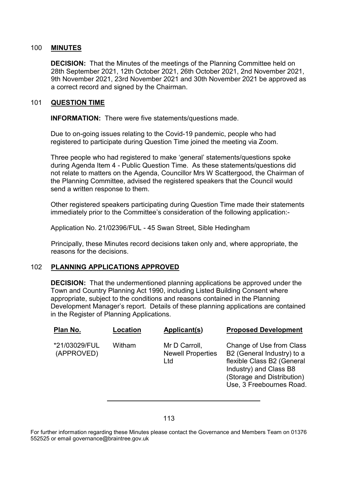#### 100 **MINUTES**

**DECISION:** That the Minutes of the meetings of the Planning Committee held on 28th September 2021, 12th October 2021, 26th October 2021, 2nd November 2021, 9th November 2021, 23rd November 2021 and 30th November 2021 be approved as a correct record and signed by the Chairman.

#### 101 **QUESTION TIME**

**INFORMATION:** There were five statements/questions made.

Due to on-going issues relating to the Covid-19 pandemic, people who had registered to participate during Question Time joined the meeting via Zoom.

Three people who had registered to make 'general' statements/questions spoke during Agenda Item 4 - Public Question Time. As these statements/questions did not relate to matters on the Agenda, Councillor Mrs W Scattergood, the Chairman of the Planning Committee, advised the registered speakers that the Council would send a written response to them.

Other registered speakers participating during Question Time made their statements immediately prior to the Committee's consideration of the following application:-

Application No. 21/02396/FUL - 45 Swan Street, Sible Hedingham

Principally, these Minutes record decisions taken only and, where appropriate, the reasons for the decisions.

#### 102 **PLANNING APPLICATIONS APPROVED**

**DECISION:** That the undermentioned planning applications be approved under the Town and Country Planning Act 1990, including Listed Building Consent where appropriate, subject to the conditions and reasons contained in the Planning Development Manager's report. Details of these planning applications are contained in the Register of Planning Applications.

| Plan No.                    | Location | Applicant(s)                                     | <b>Proposed Development</b>                                                                                                                                              |
|-----------------------------|----------|--------------------------------------------------|--------------------------------------------------------------------------------------------------------------------------------------------------------------------------|
| *21/03029/FUL<br>(APPROVED) | Witham   | Mr D Carroll,<br><b>Newell Properties</b><br>Ltd | Change of Use from Class<br>B2 (General Industry) to a<br>flexible Class B2 (General<br>Industry) and Class B8<br>(Storage and Distribution)<br>Use, 3 Freebournes Road. |
|                             |          |                                                  |                                                                                                                                                                          |

For further information regarding these Minutes please contact the Governance and Members Team on 01376 552525 or email governance@braintree.gov.uk